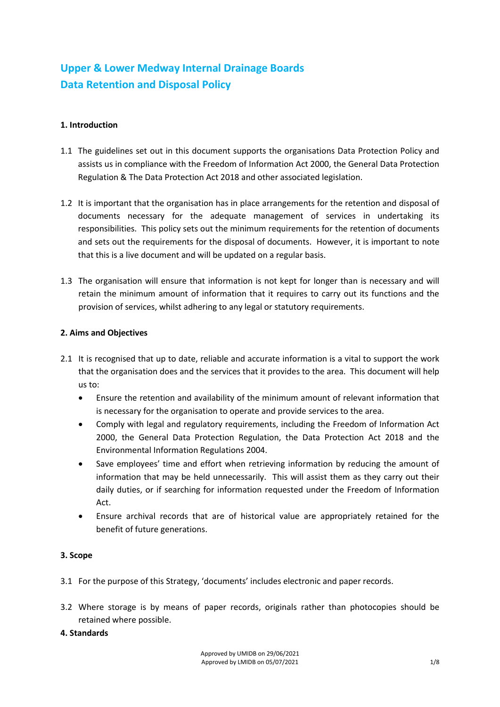# **Upper & Lower Medway Internal Drainage Boards Data Retention and Disposal Policy**

### **1. Introduction**

- 1.1 The guidelines set out in this document supports the organisations Data Protection Policy and assists us in compliance with the Freedom of Information Act 2000, the General Data Protection Regulation & The Data Protection Act 2018 and other associated legislation.
- 1.2 It is important that the organisation has in place arrangements for the retention and disposal of documents necessary for the adequate management of services in undertaking its responsibilities. This policy sets out the minimum requirements for the retention of documents and sets out the requirements for the disposal of documents. However, it is important to note that this is a live document and will be updated on a regular basis.
- 1.3 The organisation will ensure that information is not kept for longer than is necessary and will retain the minimum amount of information that it requires to carry out its functions and the provision of services, whilst adhering to any legal or statutory requirements.

### **2. Aims and Objectives**

- 2.1 It is recognised that up to date, reliable and accurate information is a vital to support the work that the organisation does and the services that it provides to the area. This document will help us to:
	- Ensure the retention and availability of the minimum amount of relevant information that is necessary for the organisation to operate and provide services to the area.
	- Comply with legal and regulatory requirements, including the Freedom of Information Act 2000, the General Data Protection Regulation, the Data Protection Act 2018 and the Environmental Information Regulations 2004.
	- Save employees' time and effort when retrieving information by reducing the amount of information that may be held unnecessarily. This will assist them as they carry out their daily duties, or if searching for information requested under the Freedom of Information Act.
	- Ensure archival records that are of historical value are appropriately retained for the benefit of future generations.

### **3. Scope**

- 3.1 For the purpose of this Strategy, 'documents' includes electronic and paper records.
- 3.2 Where storage is by means of paper records, originals rather than photocopies should be retained where possible.

### **4. Standards**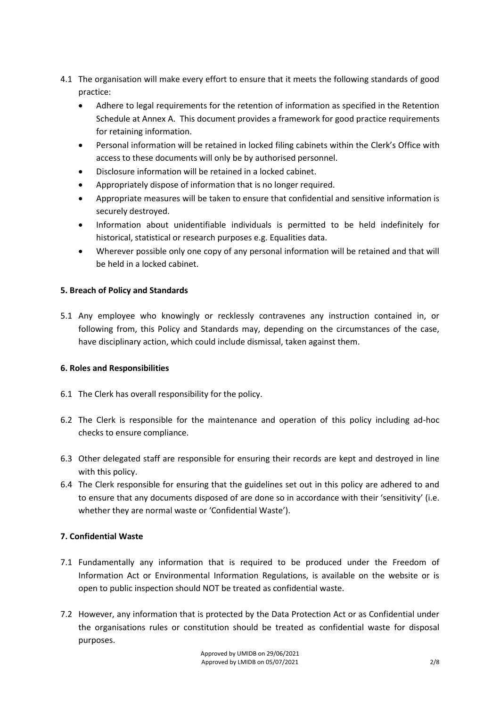- 4.1 The organisation will make every effort to ensure that it meets the following standards of good practice:
	- Adhere to legal requirements for the retention of information as specified in the Retention Schedule at Annex A. This document provides a framework for good practice requirements for retaining information.
	- Personal information will be retained in locked filing cabinets within the Clerk's Office with access to these documents will only be by authorised personnel.
	- Disclosure information will be retained in a locked cabinet.
	- Appropriately dispose of information that is no longer required.
	- Appropriate measures will be taken to ensure that confidential and sensitive information is securely destroyed.
	- Information about unidentifiable individuals is permitted to be held indefinitely for historical, statistical or research purposes e.g. Equalities data.
	- Wherever possible only one copy of any personal information will be retained and that will be held in a locked cabinet.

### **5. Breach of Policy and Standards**

5.1 Any employee who knowingly or recklessly contravenes any instruction contained in, or following from, this Policy and Standards may, depending on the circumstances of the case, have disciplinary action, which could include dismissal, taken against them.

### **6. Roles and Responsibilities**

- 6.1 The Clerk has overall responsibility for the policy.
- 6.2 The Clerk is responsible for the maintenance and operation of this policy including ad-hoc checks to ensure compliance.
- 6.3 Other delegated staff are responsible for ensuring their records are kept and destroyed in line with this policy.
- 6.4 The Clerk responsible for ensuring that the guidelines set out in this policy are adhered to and to ensure that any documents disposed of are done so in accordance with their 'sensitivity' (i.e. whether they are normal waste or 'Confidential Waste').

### **7. Confidential Waste**

- 7.1 Fundamentally any information that is required to be produced under the Freedom of Information Act or Environmental Information Regulations, is available on the website or is open to public inspection should NOT be treated as confidential waste.
- 7.2 However, any information that is protected by the Data Protection Act or as Confidential under the organisations rules or constitution should be treated as confidential waste for disposal purposes.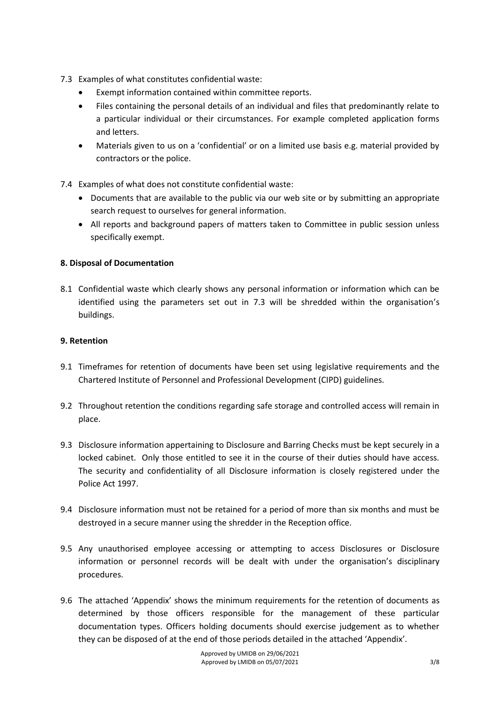- 7.3 Examples of what constitutes confidential waste:
	- Exempt information contained within committee reports.
	- Files containing the personal details of an individual and files that predominantly relate to a particular individual or their circumstances. For example completed application forms and letters.
	- Materials given to us on a 'confidential' or on a limited use basis e.g. material provided by contractors or the police.
- 7.4 Examples of what does not constitute confidential waste:
	- Documents that are available to the public via our web site or by submitting an appropriate search request to ourselves for general information.
	- All reports and background papers of matters taken to Committee in public session unless specifically exempt.

# **8. Disposal of Documentation**

8.1 Confidential waste which clearly shows any personal information or information which can be identified using the parameters set out in 7.3 will be shredded within the organisation's buildings.

### **9. Retention**

- 9.1 Timeframes for retention of documents have been set using legislative requirements and the Chartered Institute of Personnel and Professional Development (CIPD) guidelines.
- 9.2 Throughout retention the conditions regarding safe storage and controlled access will remain in place.
- 9.3 Disclosure information appertaining to Disclosure and Barring Checks must be kept securely in a locked cabinet. Only those entitled to see it in the course of their duties should have access. The security and confidentiality of all Disclosure information is closely registered under the Police Act 1997.
- 9.4 Disclosure information must not be retained for a period of more than six months and must be destroyed in a secure manner using the shredder in the Reception office.
- 9.5 Any unauthorised employee accessing or attempting to access Disclosures or Disclosure information or personnel records will be dealt with under the organisation's disciplinary procedures.
- 9.6 The attached 'Appendix' shows the minimum requirements for the retention of documents as determined by those officers responsible for the management of these particular documentation types. Officers holding documents should exercise judgement as to whether they can be disposed of at the end of those periods detailed in the attached 'Appendix'.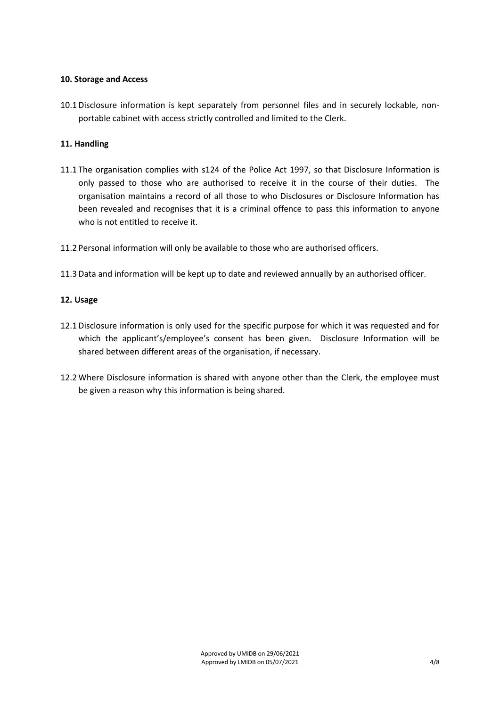### **10. Storage and Access**

10.1 Disclosure information is kept separately from personnel files and in securely lockable, nonportable cabinet with access strictly controlled and limited to the Clerk.

#### **11. Handling**

- 11.1 The organisation complies with s124 of the Police Act 1997, so that Disclosure Information is only passed to those who are authorised to receive it in the course of their duties. The organisation maintains a record of all those to who Disclosures or Disclosure Information has been revealed and recognises that it is a criminal offence to pass this information to anyone who is not entitled to receive it.
- 11.2 Personal information will only be available to those who are authorised officers.
- 11.3 Data and information will be kept up to date and reviewed annually by an authorised officer.

#### **12. Usage**

- 12.1 Disclosure information is only used for the specific purpose for which it was requested and for which the applicant's/employee's consent has been given. Disclosure Information will be shared between different areas of the organisation, if necessary.
- 12.2 Where Disclosure information is shared with anyone other than the Clerk, the employee must be given a reason why this information is being shared.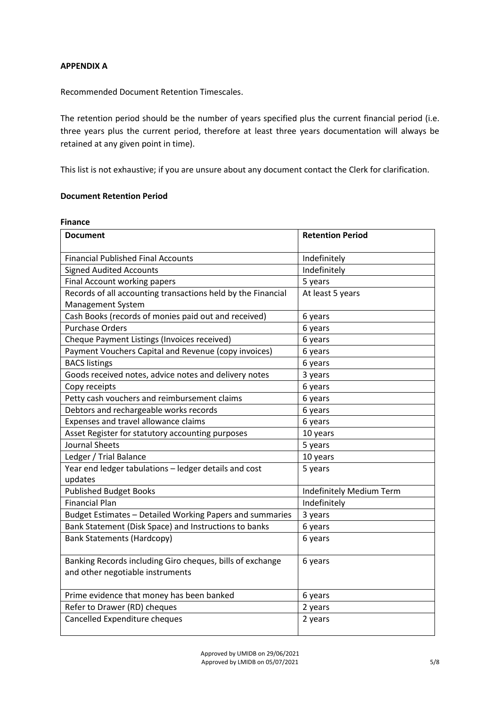#### **APPENDIX A**

Recommended Document Retention Timescales.

The retention period should be the number of years specified plus the current financial period (i.e. three years plus the current period, therefore at least three years documentation will always be retained at any given point in time).

This list is not exhaustive; if you are unsure about any document contact the Clerk for clarification.

#### **Document Retention Period**

#### **Finance**

| <b>Document</b>                                              | <b>Retention Period</b>  |
|--------------------------------------------------------------|--------------------------|
| <b>Financial Published Final Accounts</b>                    | Indefinitely             |
| <b>Signed Audited Accounts</b>                               | Indefinitely             |
| Final Account working papers                                 | 5 years                  |
| Records of all accounting transactions held by the Financial | At least 5 years         |
| Management System                                            |                          |
| Cash Books (records of monies paid out and received)         | 6 years                  |
| <b>Purchase Orders</b>                                       | 6 years                  |
| Cheque Payment Listings (Invoices received)                  | 6 years                  |
| Payment Vouchers Capital and Revenue (copy invoices)         | 6 years                  |
| <b>BACS listings</b>                                         | 6 years                  |
| Goods received notes, advice notes and delivery notes        | 3 years                  |
| Copy receipts                                                | 6 years                  |
| Petty cash vouchers and reimbursement claims                 | 6 years                  |
| Debtors and rechargeable works records                       | 6 years                  |
| Expenses and travel allowance claims                         | 6 years                  |
| Asset Register for statutory accounting purposes             | 10 years                 |
| <b>Journal Sheets</b>                                        | 5 years                  |
| Ledger / Trial Balance                                       | 10 years                 |
| Year end ledger tabulations - ledger details and cost        | 5 years                  |
| updates                                                      |                          |
| <b>Published Budget Books</b>                                | Indefinitely Medium Term |
| <b>Financial Plan</b>                                        | Indefinitely             |
| Budget Estimates - Detailed Working Papers and summaries     | 3 years                  |
| Bank Statement (Disk Space) and Instructions to banks        | 6 years                  |
| <b>Bank Statements (Hardcopy)</b>                            | 6 years                  |
| Banking Records including Giro cheques, bills of exchange    | 6 years                  |
| and other negotiable instruments                             |                          |
| Prime evidence that money has been banked                    | 6 years                  |
| Refer to Drawer (RD) cheques                                 | 2 years                  |
| Cancelled Expenditure cheques                                | 2 years                  |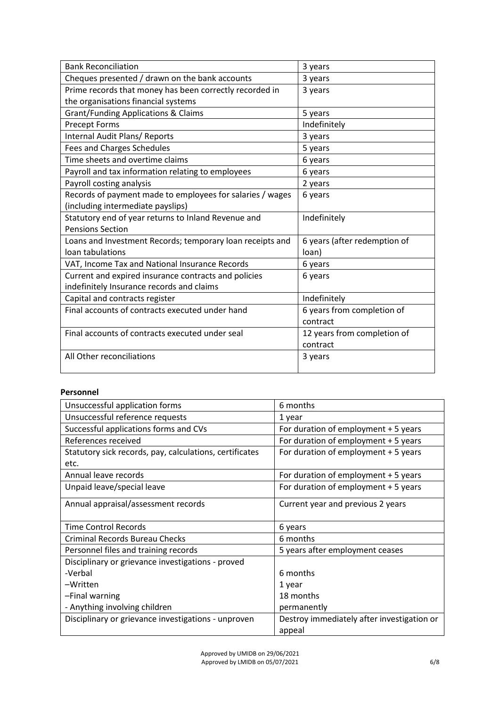| <b>Bank Reconciliation</b>                                | 3 years                      |
|-----------------------------------------------------------|------------------------------|
| Cheques presented / drawn on the bank accounts            | 3 years                      |
| Prime records that money has been correctly recorded in   | 3 years                      |
| the organisations financial systems                       |                              |
| <b>Grant/Funding Applications &amp; Claims</b>            | 5 years                      |
| <b>Precept Forms</b>                                      | Indefinitely                 |
| Internal Audit Plans/ Reports                             | 3 years                      |
| <b>Fees and Charges Schedules</b>                         | 5 years                      |
| Time sheets and overtime claims                           | 6 years                      |
| Payroll and tax information relating to employees         | 6 years                      |
| Payroll costing analysis                                  | 2 years                      |
| Records of payment made to employees for salaries / wages | 6 years                      |
| (including intermediate payslips)                         |                              |
| Statutory end of year returns to Inland Revenue and       | Indefinitely                 |
| <b>Pensions Section</b>                                   |                              |
| Loans and Investment Records; temporary loan receipts and | 6 years (after redemption of |
| loan tabulations                                          | loan)                        |
| VAT, Income Tax and National Insurance Records            | 6 years                      |
| Current and expired insurance contracts and policies      | 6 years                      |
| indefinitely Insurance records and claims                 |                              |
| Capital and contracts register                            | Indefinitely                 |
| Final accounts of contracts executed under hand           | 6 years from completion of   |
|                                                           | contract                     |
| Final accounts of contracts executed under seal           | 12 years from completion of  |
|                                                           | contract                     |
| All Other reconciliations                                 | 3 years                      |
|                                                           |                              |

#### **Personnel**

| Unsuccessful application forms                          | 6 months                                   |
|---------------------------------------------------------|--------------------------------------------|
| Unsuccessful reference requests                         | 1 year                                     |
| Successful applications forms and CVs                   | For duration of employment + 5 years       |
| References received                                     | For duration of employment $+5$ years      |
| Statutory sick records, pay, calculations, certificates | For duration of employment + 5 years       |
| etc.                                                    |                                            |
| Annual leave records                                    | For duration of employment + 5 years       |
| Unpaid leave/special leave                              | For duration of employment + 5 years       |
| Annual appraisal/assessment records                     | Current year and previous 2 years          |
| <b>Time Control Records</b>                             | 6 years                                    |
| <b>Criminal Records Bureau Checks</b>                   | 6 months                                   |
| Personnel files and training records                    | 5 years after employment ceases            |
| Disciplinary or grievance investigations - proved       |                                            |
| -Verbal                                                 | 6 months                                   |
| -Written                                                | 1 year                                     |
| -Final warning                                          | 18 months                                  |
| - Anything involving children                           | permanently                                |
| Disciplinary or grievance investigations - unproven     | Destroy immediately after investigation or |
|                                                         | appeal                                     |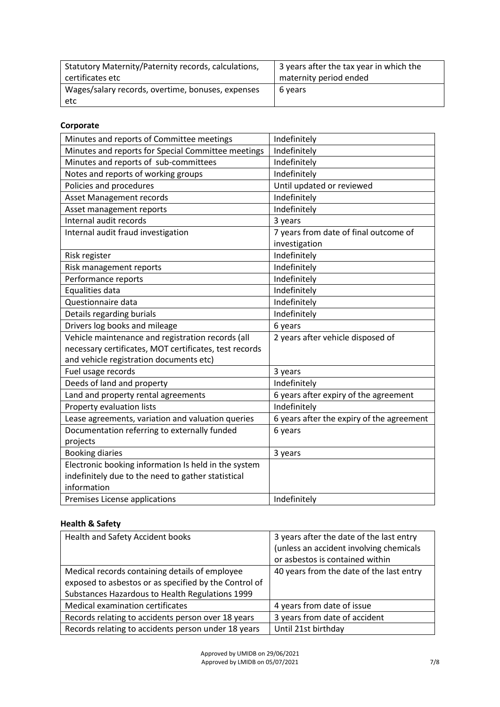| Statutory Maternity/Paternity records, calculations, | 3 years after the tax year in which the |
|------------------------------------------------------|-----------------------------------------|
| certificates etc                                     | maternity period ended                  |
| Wages/salary records, overtime, bonuses, expenses    | 6 years                                 |
| etc                                                  |                                         |

# **Corporate**

| Minutes and reports of Committee meetings              | Indefinitely                              |
|--------------------------------------------------------|-------------------------------------------|
| Minutes and reports for Special Committee meetings     | Indefinitely                              |
| Minutes and reports of sub-committees                  | Indefinitely                              |
| Notes and reports of working groups                    | Indefinitely                              |
| Policies and procedures                                | Until updated or reviewed                 |
| <b>Asset Management records</b>                        | Indefinitely                              |
| Asset management reports                               | Indefinitely                              |
| Internal audit records                                 | 3 years                                   |
| Internal audit fraud investigation                     | 7 years from date of final outcome of     |
|                                                        | investigation                             |
| Risk register                                          | Indefinitely                              |
| Risk management reports                                | Indefinitely                              |
| Performance reports                                    | Indefinitely                              |
| Equalities data                                        | Indefinitely                              |
| Questionnaire data                                     | Indefinitely                              |
| Details regarding burials                              | Indefinitely                              |
| Drivers log books and mileage                          | 6 years                                   |
| Vehicle maintenance and registration records (all      | 2 years after vehicle disposed of         |
| necessary certificates, MOT certificates, test records |                                           |
| and vehicle registration documents etc)                |                                           |
| Fuel usage records                                     | 3 years                                   |
| Deeds of land and property                             | Indefinitely                              |
| Land and property rental agreements                    | 6 years after expiry of the agreement     |
| Property evaluation lists                              | Indefinitely                              |
| Lease agreements, variation and valuation queries      | 6 years after the expiry of the agreement |
| Documentation referring to externally funded           | 6 years                                   |
| projects                                               |                                           |
| <b>Booking diaries</b>                                 | 3 years                                   |
| Electronic booking information Is held in the system   |                                           |
| indefinitely due to the need to gather statistical     |                                           |
| information                                            |                                           |
| Premises License applications                          | Indefinitely                              |

# **Health & Safety**

| Health and Safety Accident books                                                                                                                           | 3 years after the date of the last entry<br>(unless an accident involving chemicals<br>or asbestos is contained within |
|------------------------------------------------------------------------------------------------------------------------------------------------------------|------------------------------------------------------------------------------------------------------------------------|
| Medical records containing details of employee<br>exposed to asbestos or as specified by the Control of<br>Substances Hazardous to Health Regulations 1999 | 40 years from the date of the last entry                                                                               |
| Medical examination certificates                                                                                                                           | 4 years from date of issue                                                                                             |
| Records relating to accidents person over 18 years                                                                                                         | 3 years from date of accident                                                                                          |
| Records relating to accidents person under 18 years                                                                                                        | Until 21st birthday                                                                                                    |